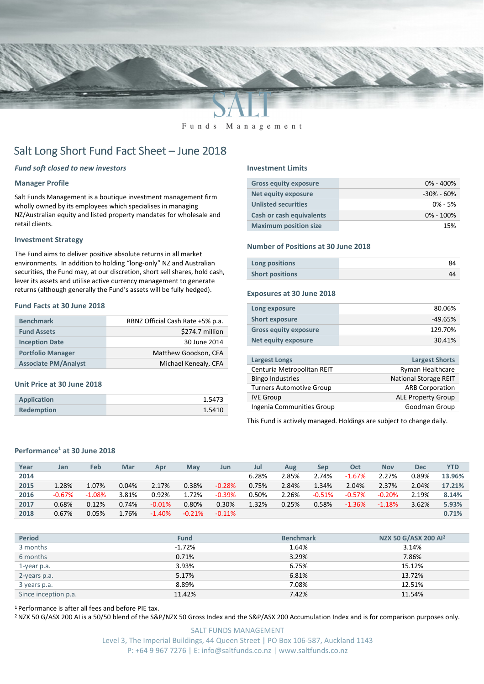

#### Funds Management

# Salt Long Short Fund Fact Sheet - June 2018

### Fund soft closed to new investors

#### Manager Profile

Salt Funds Management is a boutique investment management firm wholly owned by its employees which specialises in managing NZ/Australian equity and listed property mandates for wholesale and retail clients.

#### Investment Strategy

The Fund aims to deliver positive absolute returns in all market environments. In addition to holding "long-only" NZ and Australian securities, the Fund may, at our discretion, short sell shares, hold cash, lever its assets and utilise active currency management to generate returns (although generally the Fund's assets will be fully hedged).

#### Fund Facts at 30 June 2018

| <b>Benchmark</b>            | RBNZ Official Cash Rate +5% p.a. |
|-----------------------------|----------------------------------|
| <b>Fund Assets</b>          | \$274.7 million                  |
| <b>Inception Date</b>       | 30 June 2014                     |
| <b>Portfolio Manager</b>    | Matthew Goodson, CFA             |
| <b>Associate PM/Analyst</b> | Michael Kenealy, CFA             |

#### Unit Price at 30 June 2018

| <b>Application</b> | 1.5473 |
|--------------------|--------|
| <b>Redemption</b>  | 1.5410 |

#### Investment Limits

| <b>Gross equity exposure</b> | $0\% - 400\%$  |
|------------------------------|----------------|
| <b>Net equity exposure</b>   | $-30\% - 60\%$ |
| <b>Unlisted securities</b>   | $0\% - 5\%$    |
| Cash or cash equivalents     | $0\% - 100\%$  |
| <b>Maximum position size</b> | 15%            |

#### Number of Positions at 30 June 2018

| Long positions         |  |
|------------------------|--|
| <b>Short positions</b> |  |

#### Exposures at 30 June 2018

| Long exposure                   | 80.06%                       |
|---------------------------------|------------------------------|
| <b>Short exposure</b>           | $-49.65%$                    |
| <b>Gross equity exposure</b>    | 129.70%                      |
| <b>Net equity exposure</b>      | 30.41%                       |
|                                 |                              |
| <b>Largest Longs</b>            | <b>Largest Shorts</b>        |
| Centuria Metropolitan REIT      | Ryman Healthcare             |
| <b>Bingo Industries</b>         | <b>National Storage REIT</b> |
| <b>Turners Automotive Group</b> | <b>ARB Corporation</b>       |
| <b>IVE Group</b>                | <b>ALE Property Group</b>    |
| Ingenia Communities Group       | Goodman Group                |

This Fund is actively managed. Holdings are subject to change daily.

#### Performance<sup>1</sup> at 30 June 2018

| Year | Jan      | Feb      | Mar     | Apr      | <b>May</b> | Jun       | Jul   | Aug   | Sep      | Oct      | <b>Nov</b> | <b>Dec</b> | <b>YTD</b> |
|------|----------|----------|---------|----------|------------|-----------|-------|-------|----------|----------|------------|------------|------------|
| 2014 |          |          |         |          |            |           | 6.28% | 2.85% | 2.74%    | $-1.67%$ | 2.27%      | 0.89%      | 13.96%     |
| 2015 | 1.28%    | 1.07%    | 0.04%   | 2.17%    | 0.38%      | $-0.28%$  | 0.75% | 2.84% | 1.34%    | 2.04%    | 2.37%      | 2.04%      | 17.21%     |
| 2016 | $-0.67%$ | $-1.08%$ | 3.81%   | 0.92%    | 1.72%      | $-0.39%$  | 0.50% | 2.26% | $-0.51%$ | $-0.57%$ | $-0.20%$   | 2.19%      | 8.14%      |
| 2017 | 0.68%    | 0.12%    | 0.74%   | $-0.01%$ | 0.80%      | 0.30%     | 1.32% | 0.25% | 0.58%    | $-1.36%$ | $-1.18%$   | 3.62%      | 5.93%      |
| 2018 | 0.67%    | 0.05%    | $.76\%$ | $-1.40%$ | $-0.21%$   | $-0.11\%$ |       |       |          |          |            |            | 0.71%      |
|      |          |          |         |          |            |           |       |       |          |          |            |            |            |

| <b>Period</b>        | <b>Fund</b> | <b>Benchmark</b> | NZX 50 G/ASX 200 Al <sup>2</sup> |
|----------------------|-------------|------------------|----------------------------------|
| 3 months             | $-1.72%$    | 1.64%            | 3.14%                            |
| 6 months             | 0.71%       | 3.29%            | 7.86%                            |
| 1-year p.a.          | 3.93%       | 6.75%            | 15.12%                           |
| 2-years p.a.         | 5.17%       | 6.81%            | 13.72%                           |
| 3 years p.a.         | 8.89%       | 7.08%            | 12.51%                           |
| Since inception p.a. | 11.42%      | 7.42%            | 11.54%                           |

<sup>1</sup>Performance is after all fees and before PIE tax.

<sup>2</sup> NZX 50 G/ASX 200 AI is a 50/50 blend of the S&P/NZX 50 Gross Index and the S&P/ASX 200 Accumulation Index and is for comparison purposes only.

SALT FUNDS MANAGEMENT Level 3, The Imperial Buildings, 44 Queen Street | PO Box 106-587, Auckland 1143 P: +64 9 967 7276 | E: info@saltfunds.co.nz | www.saltfunds.co.nz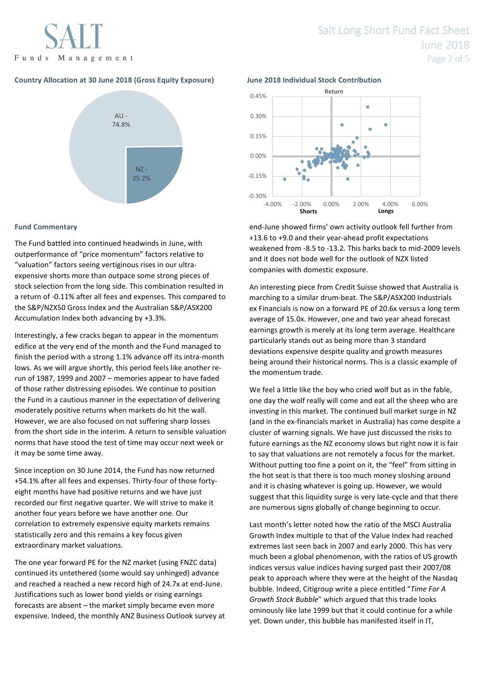## Country Allocation at 30 June 2018 (Gross Equity Exposure) June 2018 Individual Stock Contribution



### Fund Commentary

The Fund battled into continued headwinds in June, with outperformance of "price momentum" factors relative to "valuation" factors seeing vertiginous rises in our ultraexpensive shorts more than outpace some strong pieces of stock selection from the long side. This combination resulted in a return of -0.11% after all fees and expenses. This compared to the S&P/NZX50 Gross Index and the Australian S&P/ASX200 Accumulation Index both advancing by +3.3%.

Interestingly, a few cracks began to appear in the momentum edifice at the very end of the month and the Fund managed to finish the period with a strong 1.1% advance off its intra-month lows. As we will argue shortly, this period feels like another rerun of 1987, 1999 and 2007 – memories appear to have faded of those rather distressing episodes. We continue to position the Fund in a cautious manner in the expectation of delivering moderately positive returns when markets do hit the wall. However, we are also focused on not suffering sharp losses from the short side in the interim. A return to sensible valuation norms that have stood the test of time may occur next week or it may be some time away.

Since inception on 30 June 2014, the Fund has now returned +54.1% after all fees and expenses. Thirty-four of those fortyeight months have had positive returns and we have just recorded our first negative quarter. We will strive to make it another four years before we have another one. Our correlation to extremely expensive equity markets remains statistically zero and this remains a key focus given extraordinary market valuations.

The one year forward PE for the NZ market (using FNZC data) continued its untethered (some would say unhinged) advance and reached a reached a new record high of 24.7x at end-June. Justifications such as lower bond yields or rising earnings forecasts are absent – the market simply became even more expensive. Indeed, the monthly ANZ Business Outlook survey at



end-June showed firms' own activity outlook fell further from +13.6 to +9.0 and their year-ahead profit expectations weakened from -8.5 to -13.2. This harks back to mid-2009 levels and it does not bode well for the outlook of NZX listed companies with domestic exposure.

An interesting piece from Credit Suisse showed that Australia is marching to a similar drum-beat. The S&P/ASX200 Industrials ex Financials is now on a forward PE of 20.6x versus a long term average of 15.0x. However, one and two year ahead forecast earnings growth is merely at its long term average. Healthcare particularly stands out as being more than 3 standard deviations expensive despite quality and growth measures being around their historical norms. This is a classic example of the momentum trade.

We feel a little like the boy who cried wolf but as in the fable, one day the wolf really will come and eat all the sheep who are investing in this market. The continued bull market surge in NZ (and in the ex-financials market in Australia) has come despite a cluster of warning signals. We have just discussed the risks to future earnings as the NZ economy slows but right now it is fair to say that valuations are not remotely a focus for the market. Without putting too fine a point on it, the "feel" from sitting in the hot seat is that there is too much money sloshing around and it is chasing whatever is going up. However, we would suggest that this liquidity surge is very late-cycle and that there are numerous signs globally of change beginning to occur.

Last month's letter noted how the ratio of the MSCI Australia Growth Index multiple to that of the Value Index had reached extremes last seen back in 2007 and early 2000. This has very much been a global phenomenon, with the ratios of US growth indices versus value indices having surged past their 2007/08 peak to approach where they were at the height of the Nasdaq bubble. Indeed, Citigroup write a piece entitled "Time For A Growth Stock Bubble" which argued that this trade looks ominously like late 1999 but that it could continue for a while yet. Down under, this bubble has manifested itself in IT,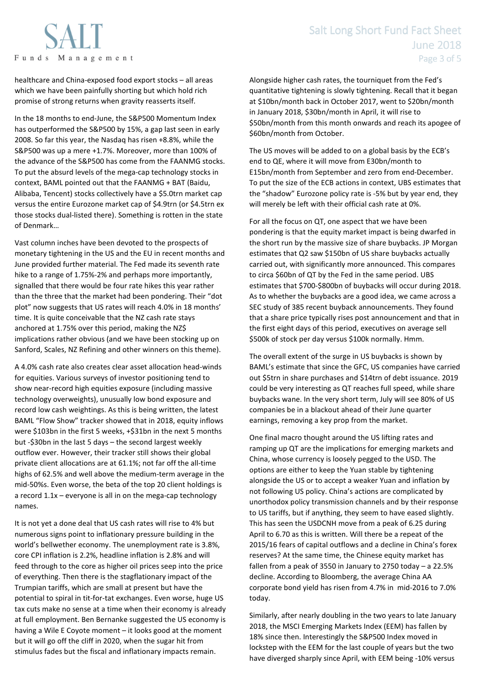

healthcare and China-exposed food export stocks – all areas which we have been painfully shorting but which hold rich promise of strong returns when gravity reasserts itself.

In the 18 months to end-June, the S&P500 Momentum Index has outperformed the S&P500 by 15%, a gap last seen in early 2008. So far this year, the Nasdaq has risen +8.8%, while the S&P500 was up a mere +1.7%. Moreover, more than 100% of the advance of the S&P500 has come from the FAANMG stocks. To put the absurd levels of the mega-cap technology stocks in context, BAML pointed out that the FAANMG + BAT (Baidu, Alibaba, Tencent) stocks collectively have a \$5.0trn market cap versus the entire Eurozone market cap of \$4.9trn (or \$4.5trn ex those stocks dual-listed there). Something is rotten in the state of Denmark…

Vast column inches have been devoted to the prospects of monetary tightening in the US and the EU in recent months and June provided further material. The Fed made its seventh rate hike to a range of 1.75%-2% and perhaps more importantly, signalled that there would be four rate hikes this year rather than the three that the market had been pondering. Their "dot plot" now suggests that US rates will reach 4.0% in 18 months' time. It is quite conceivable that the NZ cash rate stays anchored at 1.75% over this period, making the NZ\$ implications rather obvious (and we have been stocking up on Sanford, Scales, NZ Refining and other winners on this theme).

A 4.0% cash rate also creates clear asset allocation head-winds for equities. Various surveys of investor positioning tend to show near-record high equities exposure (including massive technology overweights), unusually low bond exposure and record low cash weightings. As this is being written, the latest BAML "Flow Show" tracker showed that in 2018, equity inflows were \$103bn in the first 5 weeks, +\$31bn in the next 5 months but -\$30bn in the last 5 days – the second largest weekly outflow ever. However, their tracker still shows their global private client allocations are at 61.1%; not far off the all-time highs of 62.5% and well above the medium-term average in the mid-50%s. Even worse, the beta of the top 20 client holdings is a record 1.1x – everyone is all in on the mega-cap technology names.

It is not yet a done deal that US cash rates will rise to 4% but numerous signs point to inflationary pressure building in the world's bellwether economy. The unemployment rate is 3.8%, core CPI inflation is 2.2%, headline inflation is 2.8% and will feed through to the core as higher oil prices seep into the price of everything. Then there is the stagflationary impact of the Trumpian tariffs, which are small at present but have the potential to spiral in tit-for-tat exchanges. Even worse, huge US tax cuts make no sense at a time when their economy is already at full employment. Ben Bernanke suggested the US economy is having a Wile E Coyote moment – it looks good at the moment but it will go off the cliff in 2020, when the sugar hit from stimulus fades but the fiscal and inflationary impacts remain.

Alongside higher cash rates, the tourniquet from the Fed's quantitative tightening is slowly tightening. Recall that it began at \$10bn/month back in October 2017, went to \$20bn/month in January 2018, \$30bn/month in April, it will rise to \$50bn/month from this month onwards and reach its apogee of \$60bn/month from October.

The US moves will be added to on a global basis by the ECB's end to QE, where it will move from E30bn/month to E15bn/month from September and zero from end-December. To put the size of the ECB actions in context, UBS estimates that the "shadow" Eurozone policy rate is -5% but by year end, they will merely be left with their official cash rate at 0%.

For all the focus on QT, one aspect that we have been pondering is that the equity market impact is being dwarfed in the short run by the massive size of share buybacks. JP Morgan estimates that Q2 saw \$150bn of US share buybacks actually carried out, with significantly more announced. This compares to circa \$60bn of QT by the Fed in the same period. UBS estimates that \$700-\$800bn of buybacks will occur during 2018. As to whether the buybacks are a good idea, we came across a SEC study of 385 recent buyback announcements. They found that a share price typically rises post announcement and that in the first eight days of this period, executives on average sell \$500k of stock per day versus \$100k normally. Hmm.

The overall extent of the surge in US buybacks is shown by BAML's estimate that since the GFC, US companies have carried out \$5trn in share purchases and \$14trn of debt issuance. 2019 could be very interesting as QT reaches full speed, while share buybacks wane. In the very short term, July will see 80% of US companies be in a blackout ahead of their June quarter earnings, removing a key prop from the market.

One final macro thought around the US lifting rates and ramping up QT are the implications for emerging markets and China, whose currency is loosely pegged to the USD. The options are either to keep the Yuan stable by tightening alongside the US or to accept a weaker Yuan and inflation by not following US policy. China's actions are complicated by unorthodox policy transmission channels and by their response to US tariffs, but if anything, they seem to have eased slightly. This has seen the USDCNH move from a peak of 6.25 during April to 6.70 as this is written. Will there be a repeat of the 2015/16 fears of capital outflows and a decline in China's forex reserves? At the same time, the Chinese equity market has fallen from a peak of 3550 in January to 2750 today – a 22.5% decline. According to Bloomberg, the average China AA corporate bond yield has risen from 4.7% in mid-2016 to 7.0% today.

Similarly, after nearly doubling in the two years to late January 2018, the MSCI Emerging Markets Index (EEM) has fallen by 18% since then. Interestingly the S&P500 Index moved in lockstep with the EEM for the last couple of years but the two have diverged sharply since April, with EEM being -10% versus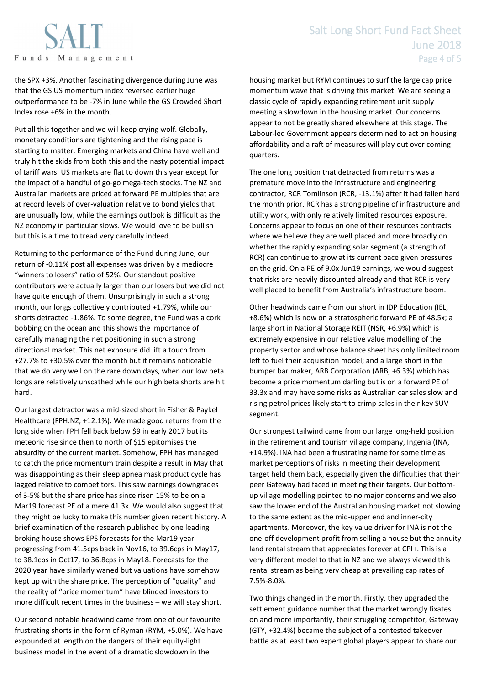

the SPX +3%. Another fascinating divergence during June was that the GS US momentum index reversed earlier huge outperformance to be -7% in June while the GS Crowded Short Index rose +6% in the month.

Put all this together and we will keep crying wolf. Globally, monetary conditions are tightening and the rising pace is starting to matter. Emerging markets and China have well and truly hit the skids from both this and the nasty potential impact of tariff wars. US markets are flat to down this year except for the impact of a handful of go-go mega-tech stocks. The NZ and Australian markets are priced at forward PE multiples that are at record levels of over-valuation relative to bond yields that are unusually low, while the earnings outlook is difficult as the NZ economy in particular slows. We would love to be bullish but this is a time to tread very carefully indeed.

Returning to the performance of the Fund during June, our return of -0.11% post all expenses was driven by a mediocre "winners to losers" ratio of 52%. Our standout positive contributors were actually larger than our losers but we did not have quite enough of them. Unsurprisingly in such a strong month, our longs collectively contributed +1.79%, while our shorts detracted -1.86%. To some degree, the Fund was a cork bobbing on the ocean and this shows the importance of carefully managing the net positioning in such a strong directional market. This net exposure did lift a touch from +27.7% to +30.5% over the month but it remains noticeable that we do very well on the rare down days, when our low beta longs are relatively unscathed while our high beta shorts are hit hard.

Our largest detractor was a mid-sized short in Fisher & Paykel Healthcare (FPH.NZ, +12.1%). We made good returns from the long side when FPH fell back below \$9 in early 2017 but its meteoric rise since then to north of \$15 epitomises the absurdity of the current market. Somehow, FPH has managed to catch the price momentum train despite a result in May that was disappointing as their sleep apnea mask product cycle has lagged relative to competitors. This saw earnings downgrades of 3-5% but the share price has since risen 15% to be on a Mar19 forecast PE of a mere 41.3x. We would also suggest that they might be lucky to make this number given recent history. A brief examination of the research published by one leading broking house shows EPS forecasts for the Mar19 year progressing from 41.5cps back in Nov16, to 39.6cps in May17, to 38.1cps in Oct17, to 36.8cps in May18. Forecasts for the 2020 year have similarly waned but valuations have somehow kept up with the share price. The perception of "quality" and the reality of "price momentum" have blinded investors to more difficult recent times in the business – we will stay short.

Our second notable headwind came from one of our favourite frustrating shorts in the form of Ryman (RYM, +5.0%). We have expounded at length on the dangers of their equity-light business model in the event of a dramatic slowdown in the

housing market but RYM continues to surf the large cap price momentum wave that is driving this market. We are seeing a classic cycle of rapidly expanding retirement unit supply meeting a slowdown in the housing market. Our concerns appear to not be greatly shared elsewhere at this stage. The Labour-led Government appears determined to act on housing affordability and a raft of measures will play out over coming quarters.

The one long position that detracted from returns was a premature move into the infrastructure and engineering contractor, RCR Tomlinson (RCR, -13.1%) after it had fallen hard the month prior. RCR has a strong pipeline of infrastructure and utility work, with only relatively limited resources exposure. Concerns appear to focus on one of their resources contracts where we believe they are well placed and more broadly on whether the rapidly expanding solar segment (a strength of RCR) can continue to grow at its current pace given pressures on the grid. On a PE of 9.0x Jun19 earnings, we would suggest that risks are heavily discounted already and that RCR is very well placed to benefit from Australia's infrastructure boom.

Other headwinds came from our short in IDP Education (IEL, +8.6%) which is now on a stratospheric forward PE of 48.5x; a large short in National Storage REIT (NSR, +6.9%) which is extremely expensive in our relative value modelling of the property sector and whose balance sheet has only limited room left to fuel their acquisition model; and a large short in the bumper bar maker, ARB Corporation (ARB, +6.3%) which has become a price momentum darling but is on a forward PE of 33.3x and may have some risks as Australian car sales slow and rising petrol prices likely start to crimp sales in their key SUV segment.

Our strongest tailwind came from our large long-held position in the retirement and tourism village company, Ingenia (INA, +14.9%). INA had been a frustrating name for some time as market perceptions of risks in meeting their development target held them back, especially given the difficulties that their peer Gateway had faced in meeting their targets. Our bottomup village modelling pointed to no major concerns and we also saw the lower end of the Australian housing market not slowing to the same extent as the mid-upper end and inner-city apartments. Moreover, the key value driver for INA is not the one-off development profit from selling a house but the annuity land rental stream that appreciates forever at CPI+. This is a very different model to that in NZ and we always viewed this rental stream as being very cheap at prevailing cap rates of 7.5%-8.0%.

Two things changed in the month. Firstly, they upgraded the settlement guidance number that the market wrongly fixates on and more importantly, their struggling competitor, Gateway (GTY, +32.4%) became the subject of a contested takeover battle as at least two expert global players appear to share our